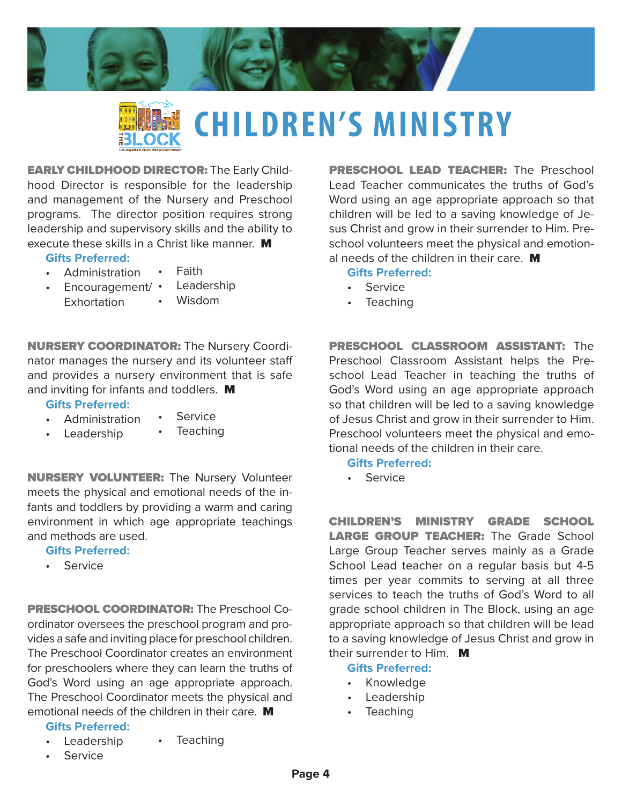



# **CHILDREN'S MINISTRY**

EARLY CHILDHOOD DIRECTOR: The Early Childhood Director is responsible for the leadership and management of the Nursery and Preschool programs. The director position requires strong leadership and supervisory skills and the ability to execute these skills in a Christ like manner. M

#### **Gifts Preferred:**

**Gifts Preferred:**  • Administration • Leadership

and methods are used. **Gifts Preferred:**  • Service

- Administration **Faith**
- Encouragement/ **Exhortation**

and inviting for infants and toddlers. M

**Leadership** 

• Service **Teaching** 

• Wisdom

NURSERY COORDINATOR: The Nursery Coordinator manages the nursery and its volunteer staf and provides a nursery environment that is safe

NURSERY VOLUNTEER: The Nursery Volunteer meets the physical and emotional needs of the infants and toddlers by providing a warm and caring environment in which age appropriate teachings

PRESCHOOL COORDINATOR: The Preschool Coordinator oversees the preschool program and provides a safe and inviting place for preschool children. The Preschool Coordinator creates an environment for preschoolers where they can learn the truths of God's Word using an age appropriate approach. The Preschool Coordinator meets the physical and emotional needs of the children in their care. **M** 

PRESCHOOL LEAD TEACHER: The Preschool Lead Teacher communicates the truths of God's Word using an age appropriate approach so that children will be led to a saving knowledge of Jesus Christ and grow in their surrender to Him. Preschool volunteers meet the physical and emotional needs of the children in their care. M

#### **Gifts Preferred:**

- Service
- **Teaching**

PRESCHOOL CLASSROOM ASSISTANT: The Preschool Classroom Assistant helps the Preschool Lead Teacher in teaching the truths of God's Word using an age appropriate approach so that children will be led to a saving knowledge of Jesus Christ and grow in their surrender to Him. Preschool volunteers meet the physical and emotional needs of the children in their care.

**Gifts Preferred:** 

• Service

CHILDREN'S MINISTRY GRADE SCHOOL LARGE GROUP TEACHER: The Grade School Large Group Teacher serves mainly as a Grade School Lead teacher on a regular basis but 4-5 times per year commits to serving at all three services to teach the truths of God's Word to all grade school children in The Block, using an age appropriate approach so that children will be lead to a saving knowledge of Jesus Christ and grow in their surrender to Him.  $\blacksquare$ 

### **Gifts Preferred:**

- Knowledge
- **Leadership**
- **Teaching**

#### **Gifts Preferred:**

- Leadership **Teaching**
- **Service**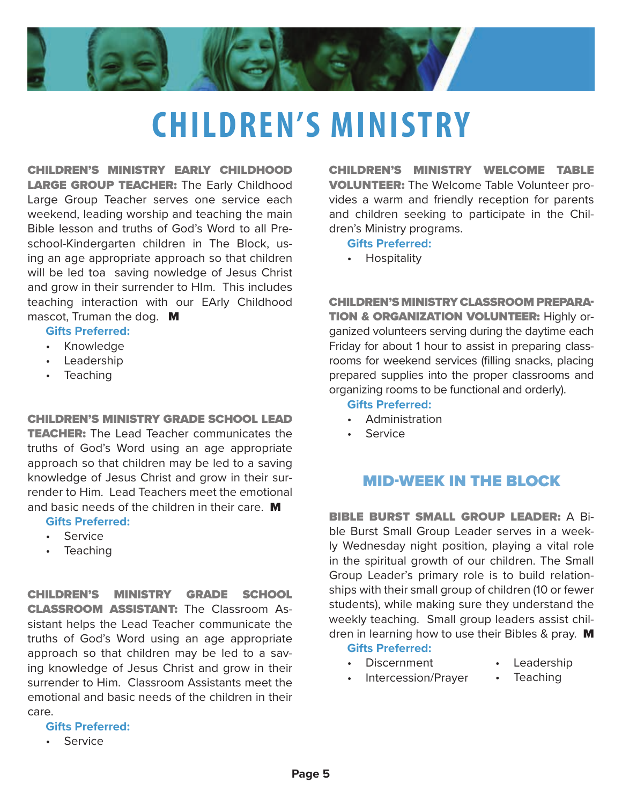

# **CHILDREN'S MINISTRY**

CHILDREN'S MINISTRY EARLY CHILDHOOD **LARGE GROUP TEACHER:** The Early Childhood Large Group Teacher serves one service each weekend, leading worship and teaching the main Bible lesson and truths of God's Word to all Preschool-Kindergarten children in The Block, using an age appropriate approach so that children will be led toa saving nowledge of Jesus Christ and grow in their surrender to HIm. This includes teaching interaction with our EArly Childhood mascot, Truman the dog. M

#### **Gifts Preferred:**

- Knowledge
- Leadership
- Teaching

CHILDREN'S MINISTRY GRADE SCHOOL LEAD

**TEACHER:** The Lead Teacher communicates the truths of God's Word using an age appropriate approach so that children may be led to a saving knowledge of Jesus Christ and grow in their surrender to Him. Lead Teachers meet the emotional and basic needs of the children in their care. M

#### **Gifts Preferred:**

- Service
- Teaching

CHILDREN'S MINISTRY GRADE SCHOOL CLASSROOM ASSISTANT: The Classroom Assistant helps the Lead Teacher communicate the truths of God's Word using an age appropriate approach so that children may be led to a saving knowledge of Jesus Christ and grow in their surrender to Him. Classroom Assistants meet the emotional and basic needs of the children in their care.

**Gifts Preferred:** 

• Service

CHILDREN'S MINISTRY WELCOME TABLE VOLUNTEER: The Welcome Table Volunteer provides a warm and friendly reception for parents and children seeking to participate in the Children's Ministry programs.

#### **Gifts Preferred:**

**Hospitality** 

CHILDREN'S MINISTRY CLASSROOM PREPARA-**TION & ORGANIZATION VOLUNTEER: Highly or**ganized volunteers serving during the daytime each Friday for about 1 hour to assist in preparing classrooms for weekend services (filling snacks, placing prepared supplies into the proper classrooms and organizing rooms to be functional and orderly).

#### **Gifts Preferred:**

- Administration
- **Service**

## MID-WEEK IN THE BLOCK

BIBLE BURST SMALL GROUP LEADER: A Bible Burst Small Group Leader serves in a weekly Wednesday night position, playing a vital role in the spiritual growth of our children. The Small Group Leader's primary role is to build relationships with their small group of children (10 or fewer students), while making sure they understand the weekly teaching. Small group leaders assist children in learning how to use their Bibles & pray.  $\blacksquare$ 

**Gifts Preferred:** 

• Discernment

- **Leadership**
- Intercession/Prayer
- **Teaching**

**Page 5**